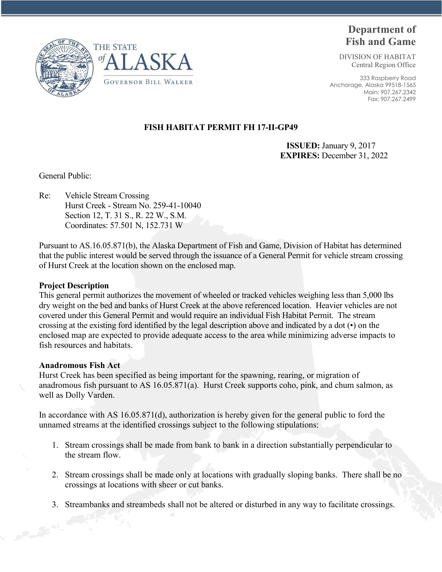



# **Department of Fish and Game**

DIVISION OF HABITAT Central Region Office

333 Raspberry Road Anchorage, Alaska 99518-1565 Main: 907.267.2342 Fax: 907.267.2499

## **FISH HABITAT PERMIT FH 17-II-GP49**

 **ISSUED:** January 9, 2017 **EXPIRES:** December 31, 2022

General Public:

Re: Vehicle Stream Crossing Hurst Creek - Stream No. 259-41-10040 Section 12, T. 31 S., R. 22 W., S.M. Coordinates: 57.501 N, 152.731 W

Pursuant to AS.16.05.871(b), the Alaska Department of Fish and Game, Division of Habitat has determined that the public interest would be served through the issuance of a General Permit for vehicle stream crossing of Hurst Creek at the location shown on the enclosed map.

#### **Project Description**

This general permit authorizes the movement of wheeled or tracked vehicles weighing less than 5,000 lbs dry weight on the bed and banks of Hurst Creek at the above referenced location. Heavier vehicles are not covered under this General Permit and would require an individual Fish Habitat Permit. The stream crossing at the existing ford identified by the legal description above and indicated by a dot (•) on the enclosed map are expected to provide adequate access to the area while minimizing adverse impacts to fish resources and habitats.

#### **Anadromous Fish Act**

Hurst Creek has been specified as being important for the spawning, rearing, or migration of anadromous fish pursuant to AS 16.05.871(a). Hurst Creek supports coho, pink, and chum salmon, as well as Dolly Varden.

In accordance with AS 16.05.871(d), authorization is hereby given for the general public to ford the unnamed streams at the identified crossings subject to the following stipulations:

- 1. Stream crossings shall be made from bank to bank in a direction substantially perpendicular to the stream flow.
- 2. Stream crossings shall be made only at locations with gradually sloping banks. There shall be no crossings at locations with sheer or cut banks.
- 3. Streambanks and streambeds shall not be altered or disturbed in any way to facilitate crossings.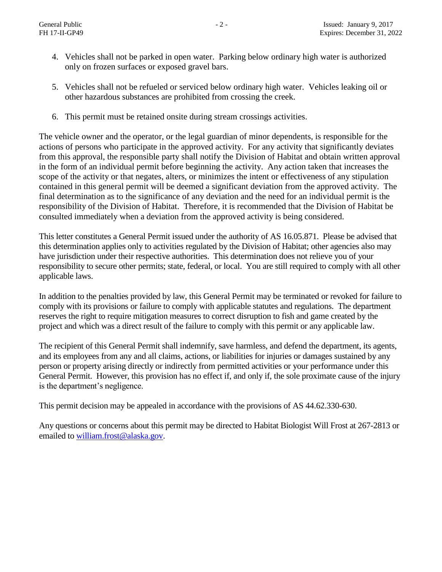- 4. Vehicles shall not be parked in open water. Parking below ordinary high water is authorized only on frozen surfaces or exposed gravel bars.
- 5. Vehicles shall not be refueled or serviced below ordinary high water. Vehicles leaking oil or other hazardous substances are prohibited from crossing the creek.
- 6. This permit must be retained onsite during stream crossings activities.

The vehicle owner and the operator, or the legal guardian of minor dependents, is responsible for the actions of persons who participate in the approved activity. For any activity that significantly deviates from this approval, the responsible party shall notify the Division of Habitat and obtain written approval in the form of an individual permit before beginning the activity. Any action taken that increases the scope of the activity or that negates, alters, or minimizes the intent or effectiveness of any stipulation contained in this general permit will be deemed a significant deviation from the approved activity. The final determination as to the significance of any deviation and the need for an individual permit is the responsibility of the Division of Habitat. Therefore, it is recommended that the Division of Habitat be consulted immediately when a deviation from the approved activity is being considered.

This letter constitutes a General Permit issued under the authority of AS 16.05.871. Please be advised that this determination applies only to activities regulated by the Division of Habitat; other agencies also may have jurisdiction under their respective authorities. This determination does not relieve you of your responsibility to secure other permits; state, federal, or local. You are still required to comply with all other applicable laws.

In addition to the penalties provided by law, this General Permit may be terminated or revoked for failure to comply with its provisions or failure to comply with applicable statutes and regulations. The department reserves the right to require mitigation measures to correct disruption to fish and game created by the project and which was a direct result of the failure to comply with this permit or any applicable law.

The recipient of this General Permit shall indemnify, save harmless, and defend the department, its agents, and its employees from any and all claims, actions, or liabilities for injuries or damages sustained by any person or property arising directly or indirectly from permitted activities or your performance under this General Permit. However, this provision has no effect if, and only if, the sole proximate cause of the injury is the department's negligence.

This permit decision may be appealed in accordance with the provisions of AS 44.62.330-630.

Any questions or concerns about this permit may be directed to Habitat Biologist Will Frost at 267-2813 or emailed t[o william.frost@alaska.gov.](mailto:william.frost@alaska.gov)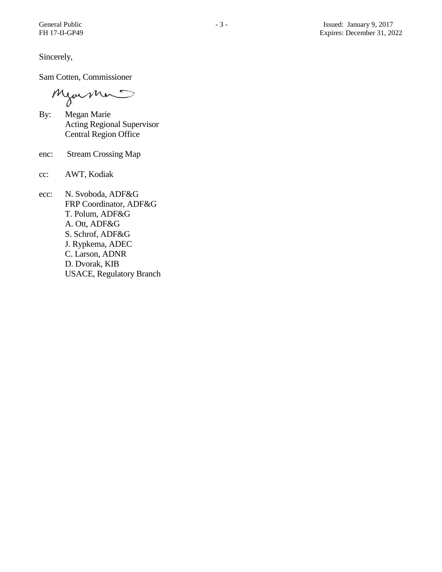Sincerely,

Sam Cotten, Commissioner

Mjormer

- By: Megan Marie Acting Regional Supervisor Central Region Office
- enc: Stream Crossing Map
- cc: AWT, Kodiak
- ecc: N. Svoboda, ADF&G FRP Coordinator, ADF&G T. Polum, ADF&G A. Ott, ADF&G S. Schrof, ADF&G J. Rypkema, ADEC C. Larson, ADNR D. Dvorak, KIB USACE, Regulatory Branch